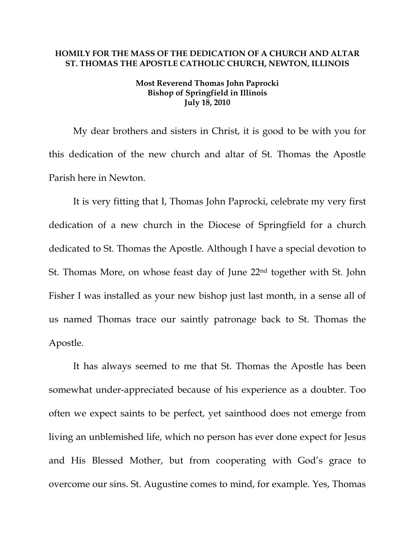## **HOMILY FOR THE MASS OF THE DEDICATION OF A CHURCH AND ALTAR ST. THOMAS THE APOSTLE CATHOLIC CHURCH, NEWTON, ILLINOIS**

## **Most Reverend Thomas John Paprocki Bishop of Springfield in Illinois July 18, 2010**

My dear brothers and sisters in Christ, it is good to be with you for this dedication of the new church and altar of St. Thomas the Apostle Parish here in Newton.

It is very fitting that I, Thomas John Paprocki, celebrate my very first dedication of a new church in the Diocese of Springfield for a church dedicated to St. Thomas the Apostle. Although I have a special devotion to St. Thomas More, on whose feast day of June 22nd together with St. John Fisher I was installed as your new bishop just last month, in a sense all of us named Thomas trace our saintly patronage back to St. Thomas the Apostle.

It has always seemed to me that St. Thomas the Apostle has been somewhat under-appreciated because of his experience as a doubter. Too often we expect saints to be perfect, yet sainthood does not emerge from living an unblemished life, which no person has ever done expect for Jesus and His Blessed Mother, but from cooperating with God's grace to overcome our sins. St. Augustine comes to mind, for example. Yes, Thomas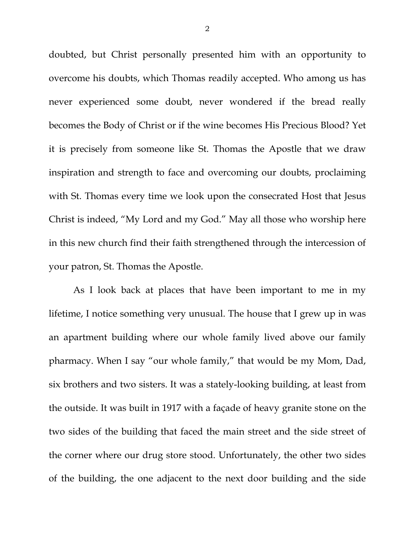doubted, but Christ personally presented him with an opportunity to overcome his doubts, which Thomas readily accepted. Who among us has never experienced some doubt, never wondered if the bread really becomes the Body of Christ or if the wine becomes His Precious Blood? Yet it is precisely from someone like St. Thomas the Apostle that we draw inspiration and strength to face and overcoming our doubts, proclaiming with St. Thomas every time we look upon the consecrated Host that Jesus Christ is indeed, "My Lord and my God." May all those who worship here in this new church find their faith strengthened through the intercession of your patron, St. Thomas the Apostle.

As I look back at places that have been important to me in my lifetime, I notice something very unusual. The house that I grew up in was an apartment building where our whole family lived above our family pharmacy. When I say "our whole family," that would be my Mom, Dad, six brothers and two sisters. It was a stately-looking building, at least from the outside. It was built in 1917 with a façade of heavy granite stone on the two sides of the building that faced the main street and the side street of the corner where our drug store stood. Unfortunately, the other two sides of the building, the one adjacent to the next door building and the side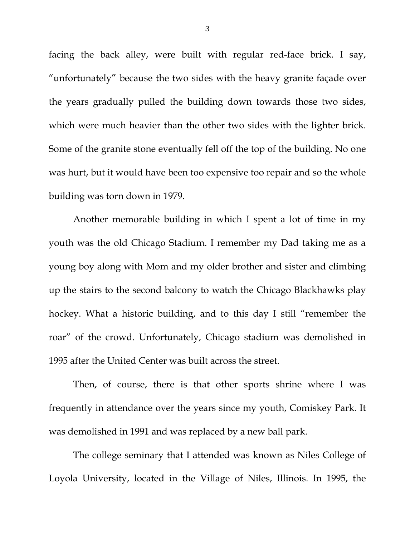facing the back alley, were built with regular red-face brick. I say, "unfortunately" because the two sides with the heavy granite façade over the years gradually pulled the building down towards those two sides, which were much heavier than the other two sides with the lighter brick. Some of the granite stone eventually fell off the top of the building. No one was hurt, but it would have been too expensive too repair and so the whole building was torn down in 1979.

Another memorable building in which I spent a lot of time in my youth was the old Chicago Stadium. I remember my Dad taking me as a young boy along with Mom and my older brother and sister and climbing up the stairs to the second balcony to watch the Chicago Blackhawks play hockey. What a historic building, and to this day I still "remember the roar" of the crowd. Unfortunately, Chicago stadium was demolished in 1995 after the United Center was built across the street.

Then, of course, there is that other sports shrine where I was frequently in attendance over the years since my youth, Comiskey Park. It was demolished in 1991 and was replaced by a new ball park.

The college seminary that I attended was known as Niles College of Loyola University, located in the Village of Niles, Illinois. In 1995, the

3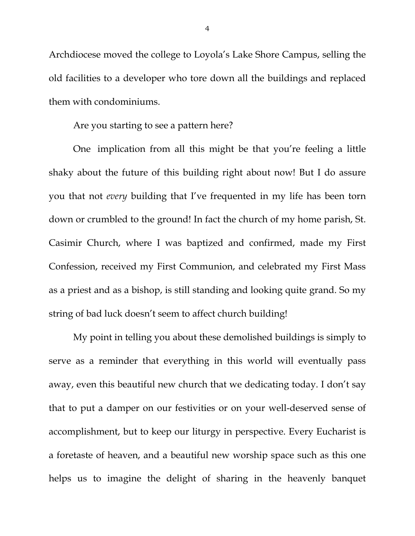Archdiocese moved the college to Loyola's Lake Shore Campus, selling the old facilities to a developer who tore down all the buildings and replaced them with condominiums.

Are you starting to see a pattern here?

 One implication from all this might be that you're feeling a little shaky about the future of this building right about now! But I do assure you that not *every* building that I've frequented in my life has been torn down or crumbled to the ground! In fact the church of my home parish, St. Casimir Church, where I was baptized and confirmed, made my First Confession, received my First Communion, and celebrated my First Mass as a priest and as a bishop, is still standing and looking quite grand. So my string of bad luck doesn't seem to affect church building!

 My point in telling you about these demolished buildings is simply to serve as a reminder that everything in this world will eventually pass away, even this beautiful new church that we dedicating today. I don't say that to put a damper on our festivities or on your well-deserved sense of accomplishment, but to keep our liturgy in perspective. Every Eucharist is a foretaste of heaven, and a beautiful new worship space such as this one helps us to imagine the delight of sharing in the heavenly banquet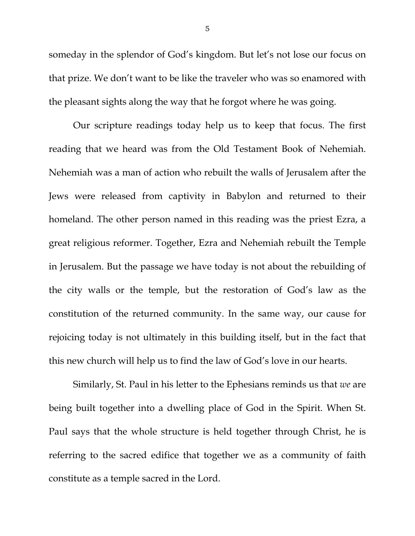someday in the splendor of God's kingdom. But let's not lose our focus on that prize. We don't want to be like the traveler who was so enamored with the pleasant sights along the way that he forgot where he was going.

 Our scripture readings today help us to keep that focus. The first reading that we heard was from the Old Testament Book of Nehemiah. Nehemiah was a man of action who rebuilt the walls of Jerusalem after the Jews were released from captivity in Babylon and returned to their homeland. The other person named in this reading was the priest Ezra, a great religious reformer. Together, Ezra and Nehemiah rebuilt the Temple in Jerusalem. But the passage we have today is not about the rebuilding of the city walls or the temple, but the restoration of God's law as the constitution of the returned community. In the same way, our cause for rejoicing today is not ultimately in this building itself, but in the fact that this new church will help us to find the law of God's love in our hearts.

 Similarly, St. Paul in his letter to the Ephesians reminds us that *we* are being built together into a dwelling place of God in the Spirit. When St. Paul says that the whole structure is held together through Christ, he is referring to the sacred edifice that together we as a community of faith constitute as a temple sacred in the Lord.

5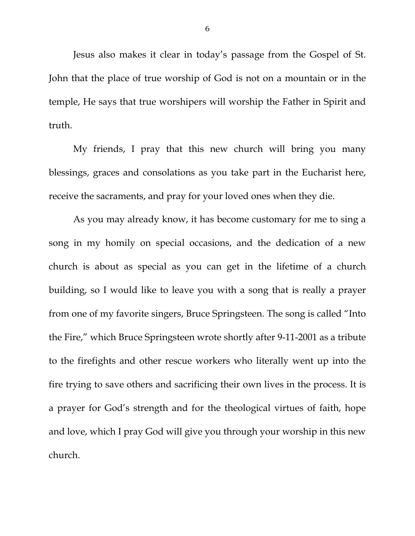Jesus also makes it clear in today's passage from the Gospel of St. John that the place of true worship of God is not on a mountain or in the temple, He says that true worshipers will worship the Father in Spirit and truth.

 My friends, I pray that this new church will bring you many blessings, graces and consolations as you take part in the Eucharist here, receive the sacraments, and pray for your loved ones when they die.

 As you may already know, it has become customary for me to sing a song in my homily on special occasions, and the dedication of a new church is about as special as you can get in the lifetime of a church building, so I would like to leave you with a song that is really a prayer from one of my favorite singers, Bruce Springsteen. The song is called "Into the Fire," which Bruce Springsteen wrote shortly after 9-11-2001 as a tribute to the firefights and other rescue workers who literally went up into the fire trying to save others and sacrificing their own lives in the process. It is a prayer for God's strength and for the theological virtues of faith, hope and love, which I pray God will give you through your worship in this new church.